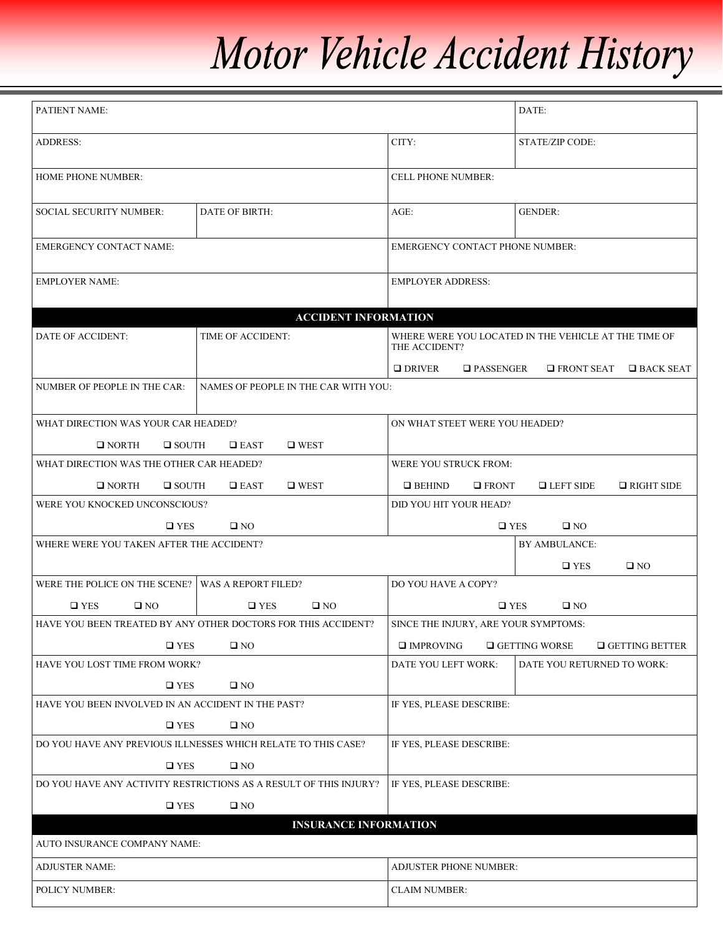## Motor Vehicle Accident History

| PATIENT NAME:                                                        |                                                               |                                        | DATE:                                                |  |
|----------------------------------------------------------------------|---------------------------------------------------------------|----------------------------------------|------------------------------------------------------|--|
| <b>ADDRESS:</b>                                                      |                                                               | CITY:                                  | <b>STATE/ZIP CODE:</b>                               |  |
| <b>HOME PHONE NUMBER:</b>                                            |                                                               | <b>CELL PHONE NUMBER:</b>              |                                                      |  |
| <b>SOCIAL SECURITY NUMBER:</b>                                       | DATE OF BIRTH:                                                | $AGE$ :                                | <b>GENDER:</b>                                       |  |
| <b>EMERGENCY CONTACT NAME:</b>                                       |                                                               | <b>EMERGENCY CONTACT PHONE NUMBER:</b> |                                                      |  |
| <b>EMPLOYER NAME:</b>                                                |                                                               | <b>EMPLOYER ADDRESS:</b>               |                                                      |  |
|                                                                      | <b>ACCIDENT INFORMATION</b>                                   |                                        |                                                      |  |
| DATE OF ACCIDENT:                                                    | TIME OF ACCIDENT:                                             | THE ACCIDENT?                          | WHERE WERE YOU LOCATED IN THE VEHICLE AT THE TIME OF |  |
|                                                                      |                                                               | $\Box$ DRIVER<br><b>Q</b> PASSENGER    | $\Box$ FRONT SEAT<br>$\square$ BACK SEAT             |  |
| NUMBER OF PEOPLE IN THE CAR:<br>NAMES OF PEOPLE IN THE CAR WITH YOU: |                                                               |                                        |                                                      |  |
| WHAT DIRECTION WAS YOUR CAR HEADED?                                  |                                                               | ON WHAT STEET WERE YOU HEADED?         |                                                      |  |
| $\square$ WEST<br>$\Box$ NORTH<br>$\Box$ SOUTH<br>$\square$ EAST     |                                                               |                                        |                                                      |  |
| WHAT DIRECTION WAS THE OTHER CAR HEADED?                             |                                                               | WERE YOU STRUCK FROM:                  |                                                      |  |
| $\Box$ NORTH<br>$\Box$ SOUTH                                         | $\square$ WEST<br>$\Box$ EAST                                 | $\Box$ BEHIND<br>$\square$ FRONT       | $L$ LEFT SIDE<br>$\Box$ RIGHT SIDE                   |  |
| WERE YOU KNOCKED UNCONSCIOUS?                                        |                                                               | DID YOU HIT YOUR HEAD?                 |                                                      |  |
| $\square$ YES<br>$\square$ NO                                        |                                                               | $\Box$ YES<br>$\square$ NO             |                                                      |  |
| WHERE WERE YOU TAKEN AFTER THE ACCIDENT?                             |                                                               |                                        | <b>BY AMBULANCE:</b>                                 |  |
|                                                                      |                                                               |                                        | $\square$ YES<br>$\square$ NO                        |  |
| WERE THE POLICE ON THE SCENE? WAS A REPORT FILED?                    |                                                               | DO YOU HAVE A COPY?                    |                                                      |  |
| $\square$ YES<br>$\square$ NO                                        | $\square$ NO<br>$\square$ YES                                 | $\square$ YES<br>$\square$ NO          |                                                      |  |
|                                                                      | HAVE YOU BEEN TREATED BY ANY OTHER DOCTORS FOR THIS ACCIDENT? | SINCE THE INJURY, ARE YOUR SYMPTOMS:   |                                                      |  |
| $\square$ YES                                                        | $\square$ NO                                                  | $\square$ IMPROVING                    | $\Box$ GETTING BETTER<br>$\Box$ GETTING WORSE        |  |
| HAVE YOU LOST TIME FROM WORK?                                        |                                                               | DATE YOU LEFT WORK:                    | DATE YOU RETURNED TO WORK:                           |  |
| $\square$ YES                                                        | $\square$ NO                                                  |                                        |                                                      |  |
| HAVE YOU BEEN INVOLVED IN AN ACCIDENT IN THE PAST?                   |                                                               |                                        | IF YES, PLEASE DESCRIBE:                             |  |
| $\square$ YES<br>$\square$ NO                                        |                                                               |                                        |                                                      |  |
| DO YOU HAVE ANY PREVIOUS ILLNESSES WHICH RELATE TO THIS CASE?        |                                                               | IF YES, PLEASE DESCRIBE:               |                                                      |  |
| $\square$ YES<br>$\square$ NO                                        |                                                               |                                        |                                                      |  |
| DO YOU HAVE ANY ACTIVITY RESTRICTIONS AS A RESULT OF THIS INJURY?    |                                                               | IF YES, PLEASE DESCRIBE:               |                                                      |  |
| $\square$ YES<br>$\square$ NO                                        |                                                               |                                        |                                                      |  |
|                                                                      |                                                               |                                        |                                                      |  |
| AUTO INSURANCE COMPANY NAME:                                         | <b>INSURANCE INFORMATION</b>                                  |                                        |                                                      |  |
| <b>ADJUSTER NAME:</b>                                                |                                                               | ADJUSTER PHONE NUMBER:                 |                                                      |  |